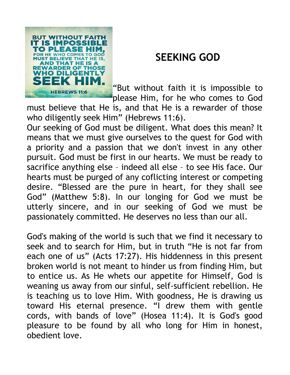

## **SEEKING GOD**

"But without faith it is impossible to please Him, for he who comes to God

must believe that He is, and that He is a rewarder of those who diligently seek Him" (Hebrews 11:6).

Our seeking of God must be diligent. What does this mean? It means that we must give ourselves to the quest for God with a priority and a passion that we don't invest in any other pursuit. God must be first in our hearts. We must be ready to sacrifice anything else – indeed all else – to see His face. Our hearts must be purged of any coflicting interest or competing desire. "Blessed are the pure in heart, for they shall see God" (Matthew 5:8). In our longing for God we must be utterly sincere, and in our seeking of God we must be passionately committed. He deserves no less than our all.

God's making of the world is such that we find it necessary to seek and to search for Him, but in truth "He is not far from each one of us" (Acts 17:27). His hiddenness in this present broken world is not meant to hinder us from finding Him, but to entice us. As He whets our appetite for Himself, God is weaning us away from our sinful, self-sufficient rebellion. He is teaching us to love Him. With goodness, He is drawing us toward His eternal presence. "I drew them with gentle cords, with bands of love" (Hosea 11:4). It is God's good pleasure to be found by all who long for Him in honest, obedient love.